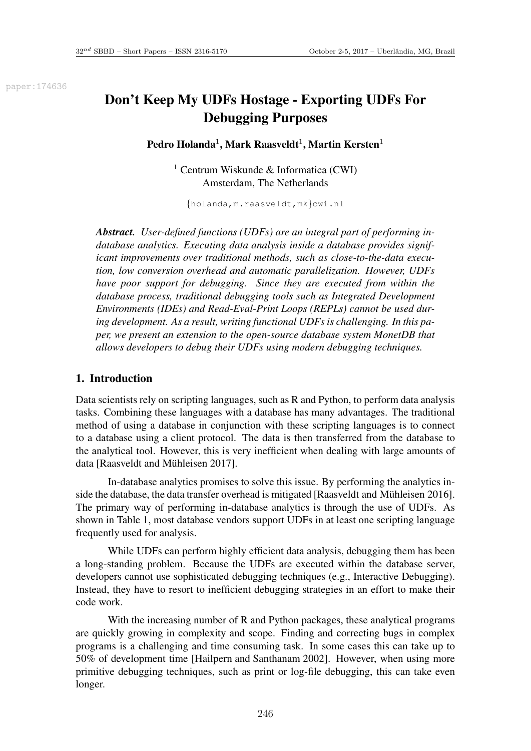paper:174636

# Don't Keep My UDFs Hostage - Exporting UDFs For Debugging Purposes

Pedro Holanda<sup>1</sup>, Mark Raasveldt<sup>1</sup>, Martin Kersten<sup>1</sup>

<sup>1</sup> Centrum Wiskunde & Informatica (CWI) Amsterdam, The Netherlands

{holanda,m.raasveldt,mk}cwi.nl

*Abstract. User-defined functions (UDFs) are an integral part of performing indatabase analytics. Executing data analysis inside a database provides significant improvements over traditional methods, such as close-to-the-data execution, low conversion overhead and automatic parallelization. However, UDFs have poor support for debugging. Since they are executed from within the database process, traditional debugging tools such as Integrated Development Environments (IDEs) and Read-Eval-Print Loops (REPLs) cannot be used during development. As a result, writing functional UDFs is challenging. In this paper, we present an extension to the open-source database system MonetDB that allows developers to debug their UDFs using modern debugging techniques.*

### 1. Introduction

Data scientists rely on scripting languages, such as R and Python, to perform data analysis tasks. Combining these languages with a database has many advantages. The traditional method of using a database in conjunction with these scripting languages is to connect to a database using a client protocol. The data is then transferred from the database to the analytical tool. However, this is very inefficient when dealing with large amounts of data [Raasveldt and Mühleisen 2017].

In-database analytics promises to solve this issue. By performing the analytics inside the database, the data transfer overhead is mitigated [Raasveldt and Mühleisen 2016]. The primary way of performing in-database analytics is through the use of UDFs. As shown in Table 1, most database vendors support UDFs in at least one scripting language frequently used for analysis.

While UDFs can perform highly efficient data analysis, debugging them has been a long-standing problem. Because the UDFs are executed within the database server, developers cannot use sophisticated debugging techniques (e.g., Interactive Debugging). Instead, they have to resort to inefficient debugging strategies in an effort to make their code work.

With the increasing number of R and Python packages, these analytical programs are quickly growing in complexity and scope. Finding and correcting bugs in complex programs is a challenging and time consuming task. In some cases this can take up to 50% of development time [Hailpern and Santhanam 2002]. However, when using more primitive debugging techniques, such as print or log-file debugging, this can take even longer.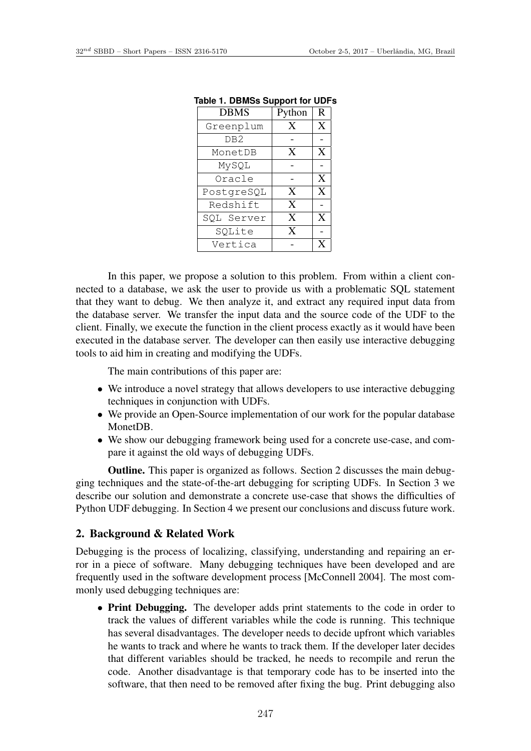| <b>DBMS</b>     | Python | $\mathbf R$    |  |  |  |
|-----------------|--------|----------------|--|--|--|
| Greenplum       | X      | X              |  |  |  |
| DB <sub>2</sub> |        |                |  |  |  |
| MonetDB         | X      | X              |  |  |  |
| MySQL           |        |                |  |  |  |
| Oracle          |        | X              |  |  |  |
| PostgreSQL      | X      | X              |  |  |  |
| Redshift        | X      |                |  |  |  |
| SQL Server      | X      | X              |  |  |  |
| SQLite          | X      |                |  |  |  |
| Vertica         |        | $\overline{X}$ |  |  |  |

|  |  | <b>Table 1. DBMSs Support for UDFs</b> |  |  |
|--|--|----------------------------------------|--|--|
|--|--|----------------------------------------|--|--|

In this paper, we propose a solution to this problem. From within a client connected to a database, we ask the user to provide us with a problematic SQL statement that they want to debug. We then analyze it, and extract any required input data from the database server. We transfer the input data and the source code of the UDF to the client. Finally, we execute the function in the client process exactly as it would have been executed in the database server. The developer can then easily use interactive debugging tools to aid him in creating and modifying the UDFs.

The main contributions of this paper are:

- We introduce a novel strategy that allows developers to use interactive debugging techniques in conjunction with UDFs.
- We provide an Open-Source implementation of our work for the popular database MonetDB.
- We show our debugging framework being used for a concrete use-case, and compare it against the old ways of debugging UDFs.

Outline. This paper is organized as follows. Section 2 discusses the main debugging techniques and the state-of-the-art debugging for scripting UDFs. In Section 3 we describe our solution and demonstrate a concrete use-case that shows the difficulties of Python UDF debugging. In Section 4 we present our conclusions and discuss future work.

### 2. Background & Related Work

Debugging is the process of localizing, classifying, understanding and repairing an error in a piece of software. Many debugging techniques have been developed and are frequently used in the software development process [McConnell 2004]. The most commonly used debugging techniques are:

• Print Debugging. The developer adds print statements to the code in order to track the values of different variables while the code is running. This technique has several disadvantages. The developer needs to decide upfront which variables he wants to track and where he wants to track them. If the developer later decides that different variables should be tracked, he needs to recompile and rerun the code. Another disadvantage is that temporary code has to be inserted into the software, that then need to be removed after fixing the bug. Print debugging also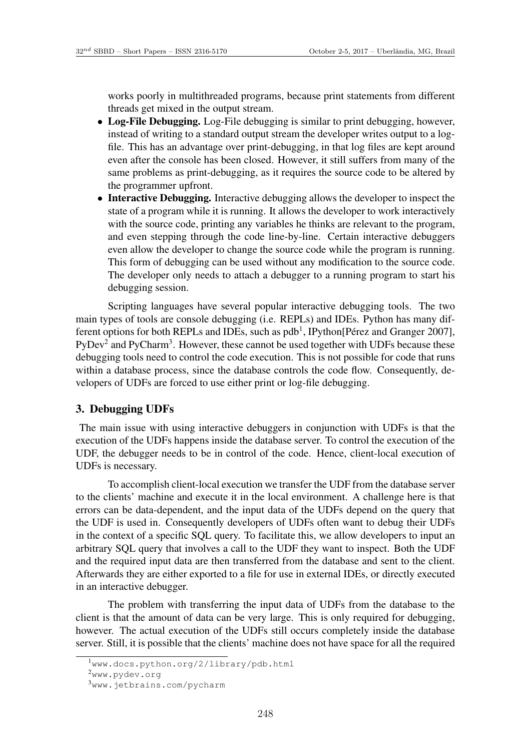works poorly in multithreaded programs, because print statements from different threads get mixed in the output stream.

- Log-File Debugging. Log-File debugging is similar to print debugging, however, instead of writing to a standard output stream the developer writes output to a logfile. This has an advantage over print-debugging, in that log files are kept around even after the console has been closed. However, it still suffers from many of the same problems as print-debugging, as it requires the source code to be altered by the programmer upfront.
- Interactive Debugging. Interactive debugging allows the developer to inspect the state of a program while it is running. It allows the developer to work interactively with the source code, printing any variables he thinks are relevant to the program, and even stepping through the code line-by-line. Certain interactive debuggers even allow the developer to change the source code while the program is running. This form of debugging can be used without any modification to the source code. The developer only needs to attach a debugger to a running program to start his debugging session.

Scripting languages have several popular interactive debugging tools. The two main types of tools are console debugging (i.e. REPLs) and IDEs. Python has many different options for both REPLs and IDEs, such as  $pdb<sup>1</sup>$ , IPython[Pérez and Granger 2007],  $PyDev<sup>2</sup>$  and PyCharm<sup>3</sup>. However, these cannot be used together with UDFs because these debugging tools need to control the code execution. This is not possible for code that runs within a database process, since the database controls the code flow. Consequently, developers of UDFs are forced to use either print or log-file debugging.

### 3. Debugging UDFs

The main issue with using interactive debuggers in conjunction with UDFs is that the execution of the UDFs happens inside the database server. To control the execution of the UDF, the debugger needs to be in control of the code. Hence, client-local execution of UDFs is necessary.

To accomplish client-local execution we transfer the UDF from the database server to the clients' machine and execute it in the local environment. A challenge here is that errors can be data-dependent, and the input data of the UDFs depend on the query that the UDF is used in. Consequently developers of UDFs often want to debug their UDFs in the context of a specific SQL query. To facilitate this, we allow developers to input an arbitrary SQL query that involves a call to the UDF they want to inspect. Both the UDF and the required input data are then transferred from the database and sent to the client. Afterwards they are either exported to a file for use in external IDEs, or directly executed in an interactive debugger.

The problem with transferring the input data of UDFs from the database to the client is that the amount of data can be very large. This is only required for debugging, however. The actual execution of the UDFs still occurs completely inside the database server. Still, it is possible that the clients' machine does not have space for all the required

<sup>1</sup>www.docs.python.org/2/library/pdb.html

<sup>2</sup>www.pydev.org

<sup>3</sup>www.jetbrains.com/pycharm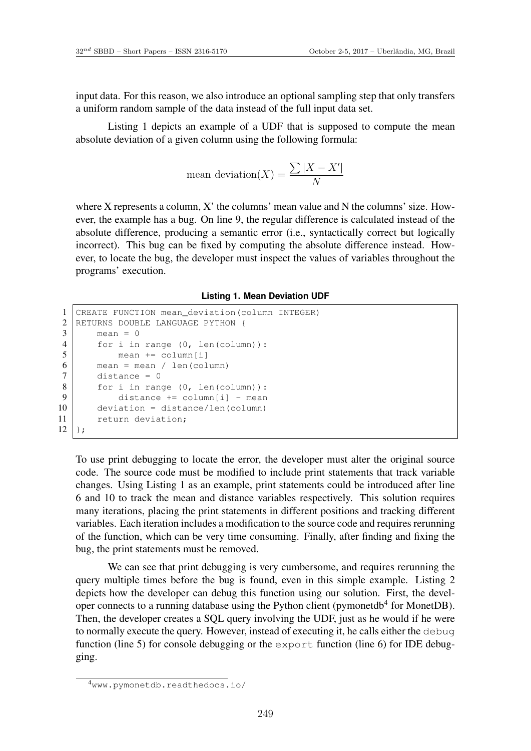input data. For this reason, we also introduce an optional sampling step that only transfers a uniform random sample of the data instead of the full input data set.

Listing 1 depicts an example of a UDF that is supposed to compute the mean absolute deviation of a given column using the following formula:

$$
\text{mean\_deviation}(X) = \frac{\sum |X - X'|}{N}
$$

where X represents a column, X' the columns' mean value and N the columns' size. However, the example has a bug. On line 9, the regular difference is calculated instead of the absolute difference, producing a semantic error (i.e., syntactically correct but logically incorrect). This bug can be fixed by computing the absolute difference instead. However, to locate the bug, the developer must inspect the values of variables throughout the programs' execution.

#### **Listing 1. Mean Deviation UDF**

```
1 CREATE FUNCTION mean deviation(column INTEGER)
2 RETURNS DOUBLE LANGUAGE PYTHON {
3 \mid mean = 0
4 for i in range (0, len(column)):
5 mean += column[i]
6 \mid mean = mean / len(column)
7 \mid distance = 0
8 for i in range (0, len(column)):
9 distance += column[i] - mean
10 deviation = distance/len(column)
11 return deviation;
12 };
```
To use print debugging to locate the error, the developer must alter the original source code. The source code must be modified to include print statements that track variable changes. Using Listing 1 as an example, print statements could be introduced after line 6 and 10 to track the mean and distance variables respectively. This solution requires many iterations, placing the print statements in different positions and tracking different variables. Each iteration includes a modification to the source code and requires rerunning of the function, which can be very time consuming. Finally, after finding and fixing the bug, the print statements must be removed.

We can see that print debugging is very cumbersome, and requires rerunning the query multiple times before the bug is found, even in this simple example. Listing 2 depicts how the developer can debug this function using our solution. First, the developer connects to a running database using the Python client (pymonetdb<sup>4</sup> for MonetDB). Then, the developer creates a SQL query involving the UDF, just as he would if he were to normally execute the query. However, instead of executing it, he calls either the debug function (line 5) for console debugging or the export function (line 6) for IDE debugging.

<sup>4</sup>www.pymonetdb.readthedocs.io/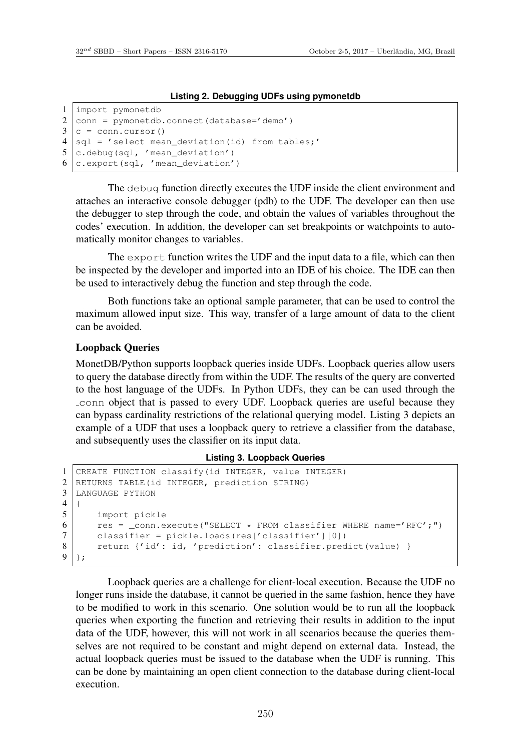### **Listing 2. Debugging UDFs using pymonetdb**

```
1 import pymonetdb
2 conn = pymonetdb.connect(database='demo')
3 c = conn.cursor()4 \text{ sql} = 'select mean\_deviation(id) from tables; '5 c.\text{delay}(sql, 'mean deviation')6 c.export(sql, 'mean_deviation')
```
The debug function directly executes the UDF inside the client environment and attaches an interactive console debugger (pdb) to the UDF. The developer can then use the debugger to step through the code, and obtain the values of variables throughout the codes' execution. In addition, the developer can set breakpoints or watchpoints to automatically monitor changes to variables.

The export function writes the UDF and the input data to a file, which can then be inspected by the developer and imported into an IDE of his choice. The IDE can then be used to interactively debug the function and step through the code.

Both functions take an optional sample parameter, that can be used to control the maximum allowed input size. This way, transfer of a large amount of data to the client can be avoided.

### Loopback Queries

MonetDB/Python supports loopback queries inside UDFs. Loopback queries allow users to query the database directly from within the UDF. The results of the query are converted to the host language of the UDFs. In Python UDFs, they can be can used through the conn object that is passed to every UDF. Loopback queries are useful because they can bypass cardinality restrictions of the relational querying model. Listing 3 depicts an example of a UDF that uses a loopback query to retrieve a classifier from the database, and subsequently uses the classifier on its input data.

#### **Listing 3. Loopback Queries**

```
1 CREATE FUNCTION classify(id INTEGER, value INTEGER)
2 RETURNS TABLE(id INTEGER, prediction STRING)
3 LANGUAGE PYTHON
\begin{array}{c|c} 4 & 4 \\ 5 & 6 \end{array}import pickle
6 res = _conn.execute("SELECT * FROM classifier WHERE name='RFC';")<br>7 classifier = pickle.loads(res['classifier'][0])
        classifier = pickle.loads(res['classifier'][0])8 return {'id': id, 'prediction': classifier.predict(value) }
9 };
```
Loopback queries are a challenge for client-local execution. Because the UDF no longer runs inside the database, it cannot be queried in the same fashion, hence they have to be modified to work in this scenario. One solution would be to run all the loopback queries when exporting the function and retrieving their results in addition to the input data of the UDF, however, this will not work in all scenarios because the queries themselves are not required to be constant and might depend on external data. Instead, the actual loopback queries must be issued to the database when the UDF is running. This can be done by maintaining an open client connection to the database during client-local execution.